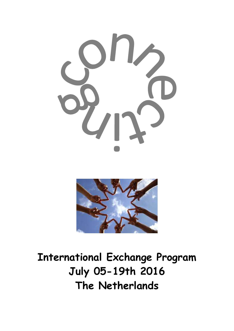



**International Exchange Program July 05-19th 2016 The Netherlands**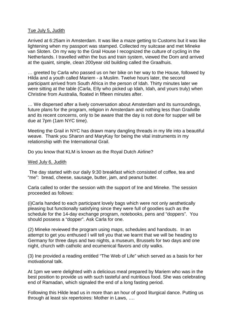### Tue July 5, Judith

Arrived at 6:25am in Amsterdam. It was like a maze getting to Customs but it was like lightening when my passport was stamped. Collected my suitcase and met Mineke van Sloten. On my way to the Grail House I recognized the culture of cycling in the Netherlands. I travelled within the bus and train system, viewed the Dom and arrived at the quaint, simple, clean 200year old building called the Graalhuis.

… greeted by Carla who passed us on her bike on her way to the House, followed by Hilda and a youth called Mariem - a Muslim. Twelve hours later, the second participant arrived from South Africa in the person of Idah. Thirty minutes later we were sitting at the table (Carla, EIly who picked up Idah, Idah, and yours truly) when Christine from Australia, floated in fifteen minutes after.

… We dispersed after a lively conversation about Amsterdam and its surroundings, future plans for the program, religion in Amsterdam and nothing less than Grailville and its recent concerns, only to be aware that the day is not done for supper will be due at 7pm (1am NYC time).

Meeting the Grail in NYC has drawn many dangling threads in my life into a beautiful weave. Thank you Sharon and MaryKay for being the vital instruments in my relationship with the International Grail.

Do you know that KLM is known as the Royal Dutch Airline?

# Wed July 6, Judith

 The day started with our daily 9:30 breakfast which consisted of coffee, tea and "me": bread, cheese, sausage, butter, jam, and peanut butter.

Carla called to order the session with the support of Ine and Mineke. The session proceeded as follows:

(i)Carla handed to each participant lovely bags which were not only aesthetically pleasing but functionally satisfying since they were full of goodies such as the schedule for the 14-day exchange program, notebooks, pens and "doppers". You should possess a "dopper". Ask Carla for one.

(2) Mineke reviewed the program using maps, schedules and handouts. In an attempt to get you enthused I will tell you that we learnt that we will be heading to Germany for three days and two nights, a museum, Brussels for two days and one night, church with catholic and ecumenical flavors and city walks.

(3) Ine provided a reading entitled "The Web of Life" which served as a basis for her motivational talk.

At 1pm we were delighted with a delicious meal prepared by Mariem who was in the best position to provide us with such tasteful and nutritious food. She was celebrating end of Ramadan, which signaled the end of a long fasting period.

Following this Hilde lead us in more than an hour of good liturgical dance. Putting us through at least six repertoires: Mother in Laws, ….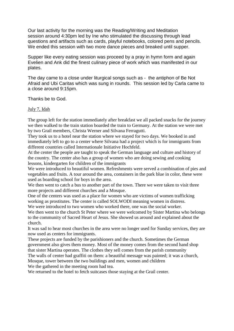Our last activity for the morning was the Reading/Writing and Meditation session around 4:30pm led by Ine who stimulated the discussing through lead questions and artifacts such as cards, playful notebooks, colored pens and pencils. We ended this session with two more dance pieces and breaked until supper.

Supper like every eating session was proceed by a pray in hymn form and again Evelien and Ank did the finest culinary piece of work which was manifested in our plates.

The day came to a close under liturgical songs such as - the antiphon of Be Not Afraid and Ubi Caritas which was sung in rounds. This session led by Carla came to a close around 9:15pm.

Thanks be to God.

# July 7, Idah

The group left for the station immediately after breakfast we all packed snacks for the journey we then walked to the train station boarded the train to Germany. At the station we were met by two Grail members, Christa Werner and Silvana Ferragutti.

They took us to a hotel near the station where we stayed for two days. We booked in and immediately left to go to a center where Silvana had a project which is for immigrants from different countries called Internationale Initiative Hochfeld.

At the center the people are taught to speak the German language and culture and history of the country. The center also has a group of women who are doing sewing and cooking lessons, kindergarten for children of the immigrants

We were introduced to beautiful women. Refreshments were served a combination of pies and vegetables and fruits. A tour around the area, containers in the park blue in color, these were used as boarding school for boys in the area.

We then went to catch a bus to another part of the town. There we were taken to visit three more projects and different churches and a Mosque.

One of the centers was used as a place for women who are victims of women trafficking working as prostitutes. The center is called SOLWODI meaning women in distress.

We were introduced to two women who worked there, one was the social worker.

We then went to the church St Peter where we were welcomed by Sister Martina who belongs to the community of Sacred Heart of Jesus. She showed us around and explained about the church.

It was sad to hear most churches in the area were no longer used for Sunday services, they are now used as centers for immigrants.

These projects are funded by the parishioners and the church. Sometimes the German government also gives them money. Most of the money comes from the second hand shop that sister Martina operates. The clothes they sell comes from the parish community The walls of center had graffiti on them: a beautiful message was painted; it was a church,

Mosque, tower between the two buildings and men, women and children

We the gathered in the meeting room had tea.

We returned to the hotel to fetch suitcases those staying at the Grail center.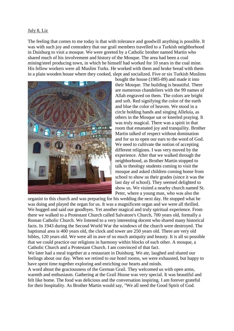The feeling that comes to me today is that with tolerance and goodwill anything is possible. It was with such joy and comradery that our grail members travelled to a Turkish neighborhood in Duisburg to visit a mosque. We were greeted by a Catholic brother named Martin who shared much of his involvement and history of the Mosque. The area had been a coal mining/steel producing town, in which he himself had worked for 10 years in the coal mine. His fellow workers were all Muslim Turks. He worked with them and broke bread with them in a plain wooden house where they cooked, slept and socialized. Five or six Turkish Muslims



bought the house (1985-89) and made it into their Mosque. The building is beautiful. There are numerous chandeliers with the 99 names of Allah engraved on them. The colors are bright and soft. Red signifying the color of the earth and blue the color of heaven. We stood in a circle holding hands and singing Alleluia, as others in the Mosque sat or kneeled praying. It was truly magical. There was a spirit in that room that emanated joy and tranquility. Brother Martin talked of respect without domination and for us to open our ears to the word of God. We need to cultivate the notion of accepting different religions. I was very moved by the experience. After that we walked through the neighborhood, as Brother Martin stopped to talk to theology students coming to visit the mosque and asked children coming home from school to show us their grades (since it was the last day of school). They seemed delighted to show us. We visited a nearby church named St. Peter, where a young man, who was also the

organist to this church and was preparing for his wedding the next day. He stopped what he was doing and played the organ for us. It was a magnificent organ and we were all thrilled. We hugged and said our goodbyes. Yet another magical and truly spiritual experience. From there we walked to a Protestant Church called Salvatore's Church, 700 years old, formally a Roman Catholic Church. We listened to a very interesting docent who shared many historical facts. In 1943 during the Second World War the windows of the church were destroyed. The baptismal area is 400 years old, the clock and tower are 250 years old. There are very old bibles, 120 years old. We were all in awe of so much antiquity and beauty. It is all so possible that we could practice our religions in harmony within blocks of each other. A mosque, a Catholic Church and a Protestant Church. I am convinced of that fact.

We later had a meal together at a restaurant in Duisburg. We ate, laughed and shared our feelings about our day. When we retired to our hotel rooms, we were exhausted, but happy to have spent time together exploring and enriching our hearts and minds.

A word about the graciousness of the German Grail. They welcomed us with open arms, warmth and enthusiasm. Gathering at the Grail House was very special. It was beautiful and felt like home. The food was delicious and the conversation inspiring. I am forever grateful for their hospitality. As Brother Martin would say, "We all need the Good Spirit of God.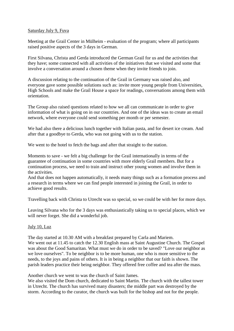# Saturday July 9, Fuva

Meeting at the Grail Center in Mülheim - evaluation of the program; where all participants raised positive aspects of the 3 days in German.

First Silvana, Christa and Gerda introduced the German Grail for us and the activities that they have; some connected with all activities of the initiatives that we visited and some that involve a conversation around a chosen theme when they invite friends to join.

A discussion relating to the continuation of the Grail in Germany was raised also, and everyone gave some possible solutions such as: invite more young people from Universities, High Schools and make the Grail House a space for readings, conversations among them with orientation.

The Group also raised questions related to how we all can communicate in order to give information of what is going on in our countries. And one of the ideas was to create an email network, where everyone could send something per month or per semester.

We had also there a delicious lunch together with Italian pasta, and for desert ice cream. And after that a goodbye to Gerda, who was not going with us to the station.

We went to the hotel to fetch the bags and after that straight to the station.

Moments to save - we felt a big challenge for the Grail internationally in terms of the guarantee of continuation in some countries with more elderly Grail members. But for a continuation process, we need to train and instruct other young women and involve them in the activities.

And that does not happen automatically, it needs many things such as a formation process and a research in terms where we can find people interested in joining the Grail, in order to achieve good results.

Travelling back with Christa to Utrecht was so special, so we could be with her for more days.

Leaving Silvana who for the 3 days was enthusiastically taking us to special places, which we will never forget. She did a wonderful job.

# July 10, Luz

The day started at 10.30 AM with a breakfast prepared by Carla and Mariem. We went out at 11.45 to catch the 12.30 English mass at Saint Augustine Church. The Gospel was about the Good Samaritan. What must we do in order to be saved? "Love our neighbor as we love ourselves". To be neighbor is to be more human, one who is more sensitive to the needs, to the joys and pains of others. It is in being a neighbor that our faith is shown. The parish leaders practice their being neighbor. They offered free coffee and tea after the mass.

Another church we went to was the church of Saint James.

We also visited the Dom church, dedicated to Saint Martin. The church with the tallest tower in Utrecht. The church has survived many disasters; the middle part was destroyed by the storm. According to the curator, the church was built for the bishop and not for the people.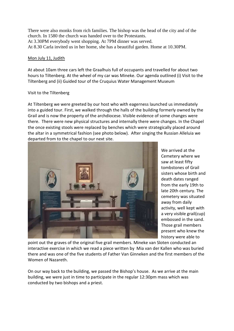There were also monks from rich families. The bishop was the head of the city and of the church. In 1580 the church was handed over to the Protestants. At 3.30PM everybody went shopping. At 7PM dinner was served. At 8.30 Carla invited us in her home, she has a beautiful garden. Home at 10.30PM.

# Mon July 11, Judith

At about 10am three cars left the Graalhuis full of occupants and travelled for about two hours to Tiltenberg. At the wheel of my car was Mineke. Our agenda outlined (i) Visit to the Tiltenberg and (ii) Guided tour of the Cruquius Water Management Museum

# Visit to the Tiltenberg

At Tiltenberg we were greeted by our host who with eagerness launched us immediately into a guided tour. First, we walked through the halls of the building formerly owned by the Grail and is now the property of the archdiocese. Visible evidence of some changes were there. There were new physical structures and internally there were changes. In the Chapel the once existing stools were replaced by benches which were strategically placed around the altar in a symmetrical fashion (see photo below). After singing the Russian Alleluia we departed from to the chapel to our next site.



We arrived at the Cemetery where we saw at least fifty tombstones of Grail sisters whose birth and death dates ranged from the early 19th to late 20th century. The cemetery was situated away from daily activity, well kept with a very visible grail(cup) embossed in the sand. Those grail members present who knew the history were able to

point out the graves of the original five grail members. Mineke van Sloten conducted an interactive exercise in which we read a piece written by Mia van der Kallen who was buried there and was one of the five students of Father Van Ginneken and the first members of the Women of Nazareth.

On our way back to the building, we passed the Bishop's house. As we arrive at the main building, we were just in time to participate in the regular 12:30pm mass which was conducted by two bishops and a priest.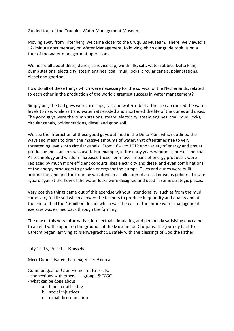Guided tour of the Cruquius Water Management Museum

Moving away from Tiltenberg, we came closer to the Cruquius Museum. There, we viewed a 12- minute documentary on Water Management, following which our guide took us on a tour of the water management operations.

We heard all about dikes, dunes, sand, ice cap, windmills, salt, water rabbits, Delta Plan, pump stations, electricity, steam engines, coal, mud, locks, circular canals, polar stations, diesel and good soil.

How do all of these things which were necessary for the survival of the Netherlands, related to each other in the production of the world's greatest success in water management?

Simply put, the bad guys were: ice caps, salt and water rabbits. The ice cap caused the water levels to rise, while salt and water rats eroded and shortened the life of the dunes and dikes. The good guys were the pump stations, steam, electricity, steam engines, coal, mud, locks, circular canals, polder stations, diesel and good soil.

We see the interaction of these good guys outlined in the Delta Plan, which outlined the ways and means to drain the massive amounts of water, that oftentimes rise to very threatening levels into circular canals. From 1641 to 1912 and variety of energy and power producing mechanisms was used. For example, in the early years windmills, horses and coal. As technology and wisdom increased these "primitive" means of energy producers were replaced by much more efficient conduits likes electricity and diesel and even combinations of the energy producers to provide energy for the pumps. Dikes and dunes were built around the land and the draining was done in a collection of areas known as polders. To safe -guard against the flow of the water locks were designed and used in some strategic places.

Very positive things came out of this exercise without intentionality; such as from the mud came very fertile soil which allowed the farmers to produce in quantity and quality and at the end of it all the 4.6million dollars which was the cost of the entire water management exercise was earned back through the farming.

The day of this very informative, intellectual stimulating and personally satisfying day came to an end with supper on the grounds of the Museum de Cruquius. The journey back to Utrecht began; arriving at Nienwegracht 51 safely with the blessings of God the Father.

# July 12-13, Priscilla, Brussels

Meet Didine, Karen, Patricia, Sister Andrea

Common goal of Grail women in Brussels:

- connections with others groups & NGO
- what can be done about
	- a. human trafficking
	- b. social injustices
	- c. racial discrimination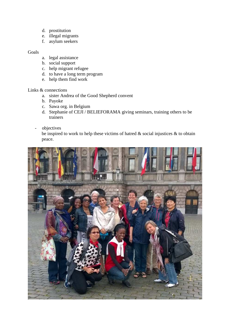- d. prostitution
- e. illegal migrants
- f. asylum seekers

# Goals

- a. legal assistance
- b. social support
- c. help migrant refugee
- d. to have a long term program
- e. help them find work

#### Links & connections

- a. sister Andrea of the Good Shepherd convent
- b. Payoke
- c. Sawa org. in Belgium
- d. Stephanie of CEJI / BELIEFORAMA giving seminars, training others to be trainers
- objectives

be inspired to work to help these victims of hatred  $\&$  social injustices  $\&$  to obtain peace.

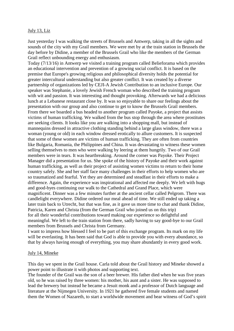### July 13, Liz

Just yesterday I was walking the streets of Brussels and Antwerp, taking in all the sights and sounds of the city with my Grail members. We were met by at the train station in Brussels the day before by Didine, a member of the Brussels Grail who like the members of the German Grail reflect unbounding energy and enthusiasm.

Today (7/13/16) in Antwerp we visited a training program called Belieforama which provides an educational intervention and prevention of a growing social conflict. It is based on the premise that Europe's growing religious and philosophical diversity holds the potential for greater intercultural understanding but also greater conflict. It was created by a diverse partnership of organizations led by CEJI-A Jewish Contribution to an inclusive Europe. Our speaker was Stephanie, a lovely Jewish French woman who described the training program with wit and passion. It was interesting and thought provoking. Afterwards we had a delicious lunch at a Lebanese restaurant close by. It was so enjoyable to share our feelings about the presentation with our group and also continue to get to know the Brussels Grail members. From there we boarded a bus headed to another program called Payoke, a project that assists victims of human trafficking. We walked from the bus stop through the area where prostitutes are seeking clients. It looks like you are walking into a shopping mall, but instead of mannequins dressed in attractive clothing standing behind a large glass window, there was a woman (young or old) in each window dressed erotically to allure customers. It is suspected that some of these women are victims of human trafficking. They are often from countries like Bulgaria, Romania, the Philippines and China. It was devastating to witness these women selling themselves to men who were walking by leering at them hungrily. Two of our Grail members were in tears. It was heartbreaking. Around the corner was Payoke. Their Project Manager did a presentation for us. She spoke of the history of Payoke and their work against human trafficking, as well as their project of assisting women victims to return to their home country safely. She and her staff face many challenges in their efforts to help women who are so traumatized and fearful. Yet they are determined and steadfast in their efforts to make a difference. Again, the experience was inspirational and affected me deeply. We left with hugs and good-byes continuing our walk to the Cathedral and Grand Place, which were magnificent. Dinner was a few minutes further at the ancient cellar called Pelgrom. There was candlelight everywhere. Didine ordered our meal ahead of time. We still ended up taking a later train back to Utrecht, but that was fine, as it gave us more time to chat and thank Didine, Patricia, Karen and Christa (from the German Grail who joined us on this trip) for all their wonderful contributions toward making our experience so delightful and meaningful. We left to the train station from there, sadly having to say good-bye to our Grail members from Brussels and Christa from Germany.

I want to impress how blessed I feel to be part of this exchange program. Its mark on my life will be everlasting. It has been said that God is able to provide you with every abundance, so that by always having enough of everything, you may share abundantly in every good work.

#### July 14, Mineke

This day we spent in the Grail house. Carla told about the Grail history and Mineke showed a power point to illustrate it with photos and supporting text.

The founder of the Grail was the son of a beer brewer. His father died when he was five years old, so he was raised by three women: his mother, his aunt and a sister. He was supposed to lead the brewery but instead he became a Jesuit monk and a professor of Dutch language and literature at the Nijmegen University. In 1921 he gathered five female students and named them the Women of Nazareth, to start a worldwide movement and bear witness of God's spirit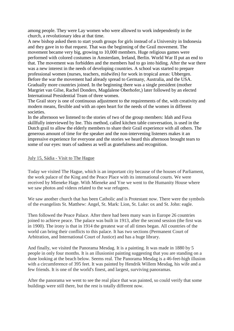among people. They were Lay women who were allowed to work independently in the church, a revolutionary idea at that time.

A new bishop asked them to start youth groups for girls instead of a University in Indonesia and they gave in to that request. That was the beginning of the Grail movement. The movement became very big, growing to 10,000 members. Huge religious games were performed with colored costumes in Amsterdam, Ireland, Berlin. World War II put an end to that. The movement was forbidden and the members had to go into hiding. After the war there was a new interest in the needs of developing countries. A school was started to prepare professional women (nurses, teachers, midwifes) for work in tropical areas: Ubbergen. Before the war the movement had already spread to Germany, Australia, and the USA. Gradually more countries joined. In the beginning there was a single president (mother Margriet van Gilse, Rachel Donders, Magdalene Oberhofer,) later followed by an elected International Presidential Team of three women.

The Grail story is one of continuous adjustment to the requirements of the, with creativity and modern means, flexible and with an open heart for the needs of the women in different societies.

In the afternoon we listened to the stories of two of the group members: Idah and Fuva skillfully interviewed by Ine. This method, called kitchen table conversation, is used in the Dutch grail to allow the elderly members to share their Grail experience with all others. The generous amount of time for the speaker and the non-intervening listeners makes it an impressive experience for everyone and the stories we heard this afternoon brought tears to some of our eyes: tears of sadness as well as gratefulness and recognition.

### July 15, Sádia - Visit to The Hague

Today we visited The Hague, which is an important city because of the houses of Parliament, the work palace of the King and the Peace Place with its international courts. We were received by Mieneke Hage. With Mieneke and Yne we went to the Humanity House where we saw photos and videos related to the war refugees.

We saw another church that has been Catholic and is Protestant now. There were the symbols of the evangelists St. Matthew: Angel, St. Mark: Lion, St. Luke: ox and St. John: eagle.

Then followed the Peace Palace. After there had been many wars in Europe 26 countries joined to achieve peace. The palace was built in 1913, after the second session (the first was in 1900). The irony is that in 1914 the greatest war of all times began. All countries of the world can bring their conflicts to this palace. It has two sections (Permanent Court of Arbitration, and International Court of Justice) and has a huge library.

And finally, we visited the Panorama Mesdag. It is a painting. It was made in 1880 by 5 people in only four months. It is an illusionist painting suggesting that you are standing on a dune looking at the beach below. Seems real. The Panorama Mesdag is a 46-feet-high illusion with a circumference of 395 feet. It was painted by Hendrik Willem Mesdag, his wife and a few friends. It is one of the world's finest, and largest, surviving panoramas.

After the panorama we went to see the real place that was painted, so could verify that some buildings were still there, but the rest is totally different now.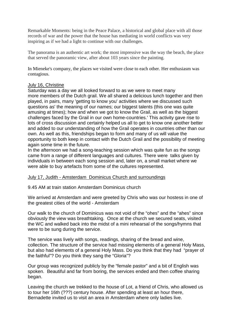Remarkable Moments: being in the Peace Palace, a historical and global place with all those records of war and the power that the house has mediating in world conflicts was very inspiring as if we had a light to continue with our challenges.

The panorama is an authentic art work; the most impressive was the way the beach, the place that served the panoramic view, after about 103 years since the painting.

In Mieneke's company, the places we visited were close to each other. Her enthusiasm was contagious.

# July 16, Christine

Saturday was a day we all looked forward to as we were to meet many more members of the Dutch grail. We all shared a delicious lunch together and then played, in pairs, many 'getting to know you' activities where we discussed such questions as' the meaning of our names; our biggest talents (this one was quite amusing at times); how and when we got to know the Grail, as well as the biggest challenges faced by the Grail in our own home-countries.' This activity gave rise to lots of cross discussion and certainly helped us all to get to know one another better and added to our understanding of how the Grail operates in countries other than our own. As well as this, friendships began to form and many of us will value the opportunity to both keep in contact with the Dutch Grail and the possibility of meeting again some time in the future.

In the afternoon we had a song-teaching session which was quite fun as the songs came from a range of different languages and cultures. There were talks given by individuals in between each song session and, later on, a small market where we were able to buy artefacts from some of the cultures represented.

# July 17, Judith - Amsterdam Dominicus Church and surroundings

9.45 AM at train station Amsterdam Dominicus church

We arrived at Amsterdam and were greeted by Chris who was our hostess in one of the greatest cities of the world - Amsterdam

Our walk to the church of Dominicus was not void of the "ohes" and the "ahes" since obviously the view was breathtaking. Once at the church we secured seats, visited the WC and walked back into the midst of a mini rehearsal of the songs/hymns that were to be sung during the service.

The service was lively with songs, readings, sharing of the bread and wine, collection. The structure of the service had missing elements of a general Holy Mass, but also had elements of a general Holy Mass. Do you think that they had "prayer of the faithful"? Do you think they sang the "Gloria"?

Our group was recognized publicly by the "female pastor" and a bit of English was spoken. Beautiful and far from boring, the services ended and then coffee sharing began.

Leaving the church we trekked to the house of Lot, a friend of Chris, who allowed us to tour her 16th (???) century house. After spending at least an hour there, Bernadette invited us to visit an area in Amsterdam where only ladies live.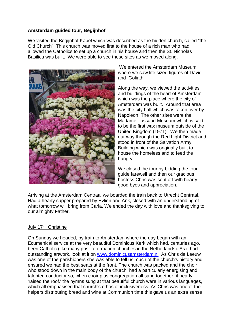# **Amsterdam guided tour, Begijnhof**

We visited the Begijnhof Kapel which was described as the hidden church, called "the Old Church". This church was moved first to the house of a rich man who had allowed the Catholics to set up a church in his house and then the St. Nicholas Basilica was built. We were able to see these sites as we moved along.



 We entered the Amsterdam Museum where we saw life sized figures of David and Goliath.

Along the way, we viewed the activities and buildings of the heart of Amsterdam which was the place where the city of Amsterdam was built. Around that area was the city hall which was taken over by Napoleon. The other sites were the Madame Tussaud Museum which is said to be the first wax museum outside of the United Kingdom (1971). We then made our way through the Red Light District and stood in front of the Salvation Army Building which was originally built to house the homeless and to feed the hungry.

We closed the tour by bidding the tour guide farewell and then our gracious hostess Chris was sent off with hearty good byes and appreciation.

Arriving at the Amsterdam Centraal we boarded the train back to Utrecht Centraal. Had a hearty supper prepared by Evlien and Ank, closed with an understanding of what tomorrow will bring from Carla. We ended the day with love and thanksgiving to our almighty Father.

# July 17<sup>th</sup>, Christine

On Sunday we headed, by train to Amsterdam where the day began with an Ecumenical service at the very beautiful Dominicus Kerk which had, centuries ago, been Catholic (like many post-reformation churches in the Netherlands). As it had outstanding artwork, look at it on www.dominicusamsterdam.nl As Chris de Leeuw was one of the parishioners she was able to tell us much of the church's history and ensured we had the best seats at the front. The church was packed and the choir who stood down in the main body of the church, had a particularly energising and talented conductor so, when choir plus congregation all sang together, it nearly 'raised the roof.' the hymns sung at that beautiful church were in various languages, which all emphasised that church's ethos of inclusiveness. As Chris was one of the helpers distributing bread and wine at Communion time this gave us an extra sense